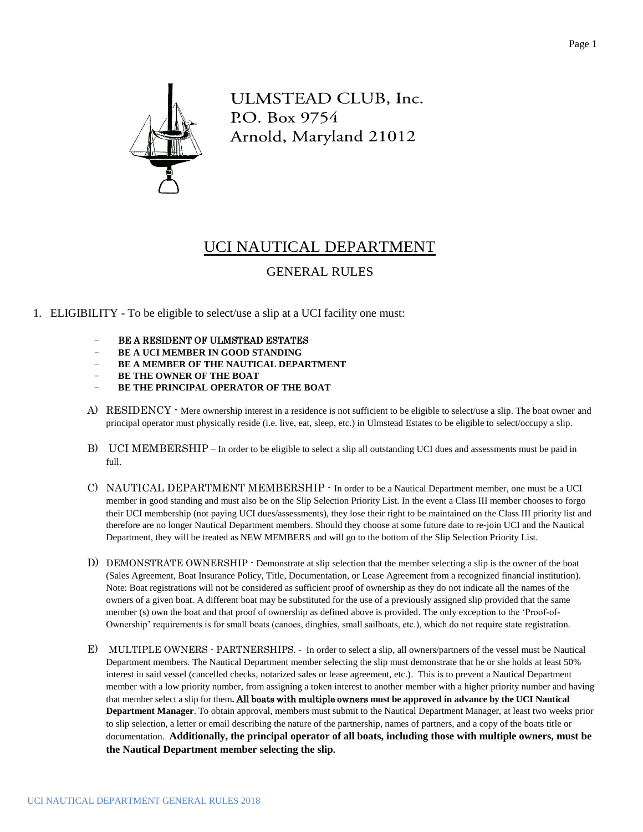

ULMSTEAD CLUB, Inc. P.O. Box 9754 Arnold, Maryland 21012

## UCI NAUTICAL DEPARTMENT

## GENERAL RULES

- 1. ELIGIBILITY To be eligible to select/use a slip at a UCI facility one must:
	- − BE A RESIDENT OF ULMSTEAD ESTATES
	- − **BE A UCI MEMBER IN GOOD STANDING**
	- − **BE A MEMBER OF THE NAUTICAL DEPARTMENT**
	- **BE THE OWNER OF THE BOAT**
	- **BE THE PRINCIPAL OPERATOR OF THE BOAT**
	- A) RESIDENCY Mere ownership interest in a residence is not sufficient to be eligible to select/use a slip. The boat owner and principal operator must physically reside (i.e. live, eat, sleep, etc.) in Ulmstead Estates to be eligible to select/occupy a slip.
	- B) UCI MEMBERSHIP In order to be eligible to select a slip all outstanding UCI dues and assessments must be paid in full.
	- C) NAUTICAL DEPARTMENT MEMBERSHIP In order to be a Nautical Department member, one must be a UCI member in good standing and must also be on the Slip Selection Priority List. In the event a Class III member chooses to forgo their UCI membership (not paying UCI dues/assessments), they lose their right to be maintained on the Class III priority list and therefore are no longer Nautical Department members. Should they choose at some future date to re-join UCI and the Nautical Department, they will be treated as NEW MEMBERS and will go to the bottom of the Slip Selection Priority List.
	- D) DEMONSTRATE OWNERSHIP Demonstrate at slip selection that the member selecting a slip is the owner of the boat (Sales Agreement, Boat Insurance Policy, Title, Documentation, or Lease Agreement from a recognized financial institution). Note: Boat registrations will not be considered as sufficient proof of ownership as they do not indicate all the names of the owners of a given boat. A different boat may be substituted for the use of a previously assigned slip provided that the same member (s) own the boat and that proof of ownership as defined above is provided. The only exception to the 'Proof-of-Ownership' requirements is for small boats (canoes, dinghies, small sailboats, etc.), which do not require state registration.
	- E) MULTIPLE OWNERS PARTNERSHIPS. In order to select a slip, all owners/partners of the vessel must be Nautical Department members. The Nautical Department member selecting the slip must demonstrate that he or she holds at least 50% interest in said vessel (cancelled checks, notarized sales or lease agreement, etc.). This is to prevent a Nautical Department member with a low priority number, from assigning a token interest to another member with a higher priority number and having that member select a slip for them**.** All boats with multiple owners **must be approved in advance by the UCI Nautical Department Manager**. To obtain approval, members must submit to the Nautical Department Manager, at least two weeks prior to slip selection, a letter or email describing the nature of the partnership, names of partners, and a copy of the boats title or documentation. **Additionally, the principal operator of all boats, including those with multiple owners, must be the Nautical Department member selecting the slip.**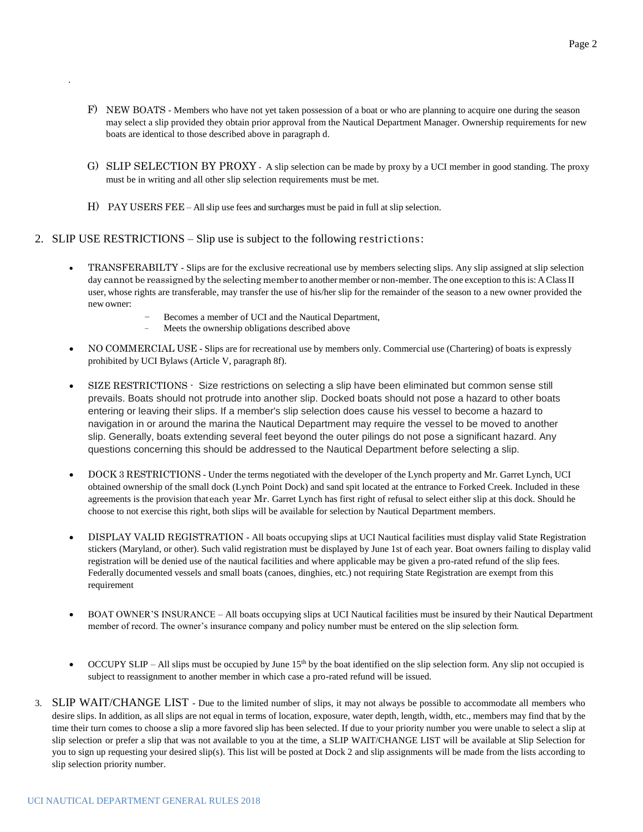- F) NEW BOATS Members who have not yet taken possession of a boat or who are planning to acquire one during the season may select a slip provided they obtain prior approval from the Nautical Department Manager. Ownership requirements for new boats are identical to those described above in paragraph d.
- G) SLIP SELECTION BY PROXY A slip selection can be made by proxy by a UCI member in good standing. The proxy must be in writing and all other slip selection requirements must be met.
- H) PAY USERS FEE All slip use fees and surcharges must be paid in full at slip selection.
- 2. SLIP USE RESTRICTIONS Slip use is subject to the following restrictions:

.

- TRANSFERABILTY Slips are for the exclusive recreational use by members selecting slips. Any slip assigned at slip selection day cannot be reassigned by the selecting member to another member or non-member. The one exception to this is: A Class II user, whose rights are transferable, may transfer the use of his/her slip for the remainder of the season to a new owner provided the new owner:
	- Becomes a member of UCI and the Nautical Department,
	- Meets the ownership obligations described above
- NO COMMERCIAL USE Slips are for recreational use by members only. Commercial use (Chartering) of boats is expressly prohibited by UCI Bylaws (Article V, paragraph 8f).
- SIZE RESTRICTIONS Size restrictions on selecting a slip have been eliminated but common sense still prevails. Boats should not protrude into another slip. Docked boats should not pose a hazard to other boats entering or leaving their slips. If a member's slip selection does cause his vessel to become a hazard to navigation in or around the marina the Nautical Department may require the vessel to be moved to another slip. Generally, boats extending several feet beyond the outer pilings do not pose a significant hazard. Any questions concerning this should be addressed to the Nautical Department before selecting a slip.
- DOCK 3 RESTRICTIONS Under the terms negotiated with the developer of the Lynch property and Mr. Garret Lynch, UCI obtained ownership of the small dock (Lynch Point Dock) and sand spit located at the entrance to Forked Creek. Included in these agreements is the provision thateach year Mr. Garret Lynch has first right of refusal to select either slip at this dock. Should he choose to not exercise this right, both slips will be available for selection by Nautical Department members.
- DISPLAY VALID REGISTRATION All boats occupying slips at UCI Nautical facilities must display valid State Registration stickers (Maryland, or other). Such valid registration must be displayed by June 1st of each year. Boat owners failing to display valid registration will be denied use of the nautical facilities and where applicable may be given a pro-rated refund of the slip fees. Federally documented vessels and small boats (canoes, dinghies, etc.) not requiring State Registration are exempt from this requirement
- BOAT OWNER'S INSURANCE All boats occupying slips at UCI Nautical facilities must be insured by their Nautical Department member of record. The owner's insurance company and policy number must be entered on the slip selection form.
- OCCUPY SLIP All slips must be occupied by June 15<sup>th</sup> by the boat identified on the slip selection form. Any slip not occupied is subject to reassignment to another member in which case a pro-rated refund will be issued.
- 3. SLIP WAIT/CHANGE LIST Due to the limited number of slips, it may not always be possible to accommodate all members who desire slips. In addition, as all slips are not equal in terms of location, exposure, water depth, length, width, etc., members may find that by the time their turn comes to choose a slip a more favored slip has been selected. If due to your priority number you were unable to select a slip at slip selection or prefer a slip that was not available to you at the time, a SLIP WAIT/CHANGE LIST will be available at Slip Selection for you to sign up requesting your desired slip(s). This list will be posted at Dock 2 and slip assignments will be made from the lists according to slip selection priority number.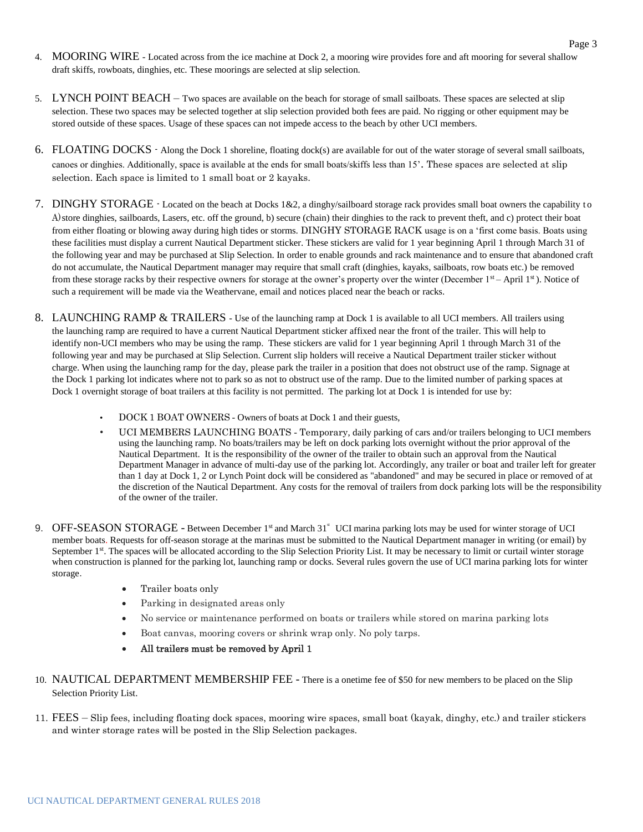- 4. MOORING WIRE Located across from the ice machine at Dock 2, a mooring wire provides fore and aft mooring for several shallow draft skiffs, rowboats, dinghies, etc. These moorings are selected at slip selection.
- 5. LYNCH POINT BEACH Two spaces are available on the beach for storage of small sailboats. These spaces are selected at slip selection. These two spaces may be selected together at slip selection provided both fees are paid. No rigging or other equipment may be stored outside of these spaces. Usage of these spaces can not impede access to the beach by other UCI members.
- 6. FLOATING DOCKS Along the Dock 1 shoreline, floating dock(s) are available for out of the water storage of several small sailboats, canoes or dinghies. Additionally, space is available at the ends for small boats/skiffs less than 15'. These spaces are selected at slip selection. Each space is limited to 1 small boat or 2 kayaks.
- 7. DINGHY STORAGE Located on the beach at Docks 1&2, a dinghy/sailboard storage rack provides small boat owners the capability t o A)store dinghies, sailboards, Lasers, etc. off the ground, b) secure (chain) their dinghies to the rack to prevent theft, and c) protect their boat from either floating or blowing away during high tides or storms. DINGHY STORAGE RACK usage is on a 'first come basis. Boats using these facilities must display a current Nautical Department sticker. These stickers are valid for 1 year beginning April 1 through March 31 of the following year and may be purchased at Slip Selection. In order to enable grounds and rack maintenance and to ensure that abandoned craft do not accumulate, the Nautical Department manager may require that small craft (dinghies, kayaks, sailboats, row boats etc.) be removed from these storage racks by their respective owners for storage at the owner's property over the winter (December  $1<sup>st</sup> - April 1<sup>st</sup>$ ). Notice of such a requirement will be made via the Weathervane, email and notices placed near the beach or racks.
- 8. LAUNCHING RAMP & TRAILERS Use of the launching ramp at Dock 1 is available to all UCI members. All trailers using the launching ramp are required to have a current Nautical Department sticker affixed near the front of the trailer. This will help to identify non-UCI members who may be using the ramp. These stickers are valid for 1 year beginning April 1 through March 31 of the following year and may be purchased at Slip Selection. Current slip holders will receive a Nautical Department trailer sticker without charge. When using the launching ramp for the day, please park the trailer in a position that does not obstruct use of the ramp. Signage at the Dock 1 parking lot indicates where not to park so as not to obstruct use of the ramp. Due to the limited number of parking spaces at Dock 1 overnight storage of boat trailers at this facility is not permitted. The parking lot at Dock 1 is intended for use by:
	- DOCK 1 BOAT OWNERS Owners of boats at Dock 1 and their guests,
	- UCI MEMBERS LAUNCHING BOATS Temporary, daily parking of cars and/or trailers belonging to UCI members using the launching ramp. No boats/trailers may be left on dock parking lots overnight without the prior approval of the Nautical Department. It is the responsibility of the owner of the trailer to obtain such an approval from the Nautical Department Manager in advance of multi-day use of the parking lot. Accordingly, any trailer or boat and trailer left for greater than 1 day at Dock 1, 2 or Lynch Point dock will be considered as "abandoned" and may be secured in place or removed of at the discretion of the Nautical Department. Any costs for the removal of trailers from dock parking lots will be the responsibility of the owner of the trailer.
- 9. OFF-SEASON STORAGE Between December 1st and March 31<sup>st</sup> UCI marina parking lots may be used for winter storage of UCI member boats. Requests for off-season storage at the marinas must be submitted to the Nautical Department manager in writing (or email) by September 1<sup>st</sup>. The spaces will be allocated according to the Slip Selection Priority List. It may be necessary to limit or curtail winter storage when construction is planned for the parking lot, launching ramp or docks. Several rules govern the use of UCI marina parking lots for winter storage.
	- Trailer boats only
	- Parking in designated areas only
	- No service or maintenance performed on boats or trailers while stored on marina parking lots
	- Boat canvas, mooring covers or shrink wrap only. No poly tarps.
	- All trailers must be removed by April 1
- 10. NAUTICAL DEPARTMENT MEMBERSHIP FEE There is a onetime fee of \$50 for new members to be placed on the Slip Selection Priority List.
- 11. FEES Slip fees, including floating dock spaces, mooring wire spaces, small boat (kayak, dinghy, etc.) and trailer stickers and winter storage rates will be posted in the Slip Selection packages.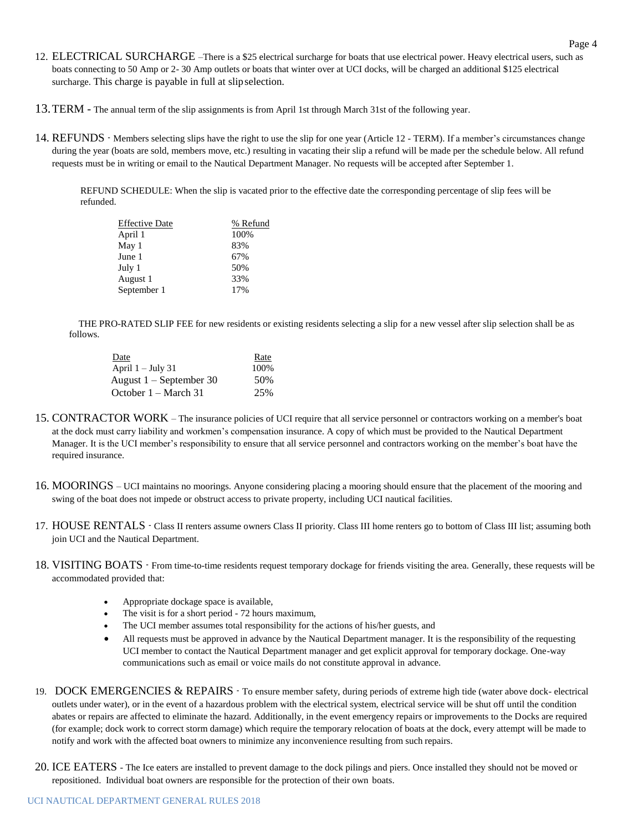- 12. ELECTRICAL SURCHARGE –There is a \$25 electrical surcharge for boats that use electrical power. Heavy electrical users, such as boats connecting to 50 Amp or 2- 30 Amp outlets or boats that winter over at UCI docks, will be charged an additional \$125 electrical surcharge. This charge is payable in full at slipselection.
- 13.TERM The annual term of the slip assignments is from April 1st through March 31st of the following year.
- 14. REFUNDS Members selecting slips have the right to use the slip for one year (Article 12 TERM). If a member's circumstances change during the year (boats are sold, members move, etc.) resulting in vacating their slip a refund will be made per the schedule below. All refund requests must be in writing or email to the Nautical Department Manager. No requests will be accepted after September 1.

REFUND SCHEDULE: When the slip is vacated prior to the effective date the corresponding percentage of slip fees will be refunded.

| <b>Effective Date</b> | % Refund |  |
|-----------------------|----------|--|
| April 1               | 100%     |  |
| May 1                 | 83%      |  |
| June 1                | 67%      |  |
| July 1                | 50%      |  |
| August 1              | 33%      |  |
| September 1           | 17%      |  |
|                       |          |  |

 THE PRO-RATED SLIP FEE for new residents or existing residents selecting a slip for a new vessel after slip selection shall be as follows.

| Date                           | Rate |  |
|--------------------------------|------|--|
| April $1 -$ July 31            | 100% |  |
| August $1 -$ September 30      | 50%  |  |
| October $1 - \text{March } 31$ | 25%  |  |

- 15. CONTRACTOR WORK The insurance policies of UCI require that all service personnel or contractors working on a member's boat at the dock must carry liability and workmen's compensation insurance. A copy of which must be provided to the Nautical Department Manager. It is the UCI member's responsibility to ensure that all service personnel and contractors working on the member's boat have the required insurance.
- 16. MOORINGS UCI maintains no moorings. Anyone considering placing a mooring should ensure that the placement of the mooring and swing of the boat does not impede or obstruct access to private property, including UCI nautical facilities.
- 17. HOUSE RENTALS Class II renters assume owners Class II priority. Class III home renters go to bottom of Class III list; assuming both join UCI and the Nautical Department.
- 18. VISITING BOATS From time-to-time residents request temporary dockage for friends visiting the area. Generally, these requests will be accommodated provided that:
	- Appropriate dockage space is available,
	- The visit is for a short period 72 hours maximum,
	- The UCI member assumes total responsibility for the actions of his/her guests, and
	- All requests must be approved in advance by the Nautical Department manager. It is the responsibility of the requesting UCI member to contact the Nautical Department manager and get explicit approval for temporary dockage. One-way communications such as email or voice mails do not constitute approval in advance.
- 19. DOCK EMERGENCIES & REPAIRS To ensure member safety, during periods of extreme high tide (water above dock- electrical outlets under water), or in the event of a hazardous problem with the electrical system, electrical service will be shut off until the condition abates or repairs are affected to eliminate the hazard. Additionally, in the event emergency repairs or improvements to the Docks are required (for example; dock work to correct storm damage) which require the temporary relocation of boats at the dock, every attempt will be made to notify and work with the affected boat owners to minimize any inconvenience resulting from such repairs.
- 20. ICE EATERS The Ice eaters are installed to prevent damage to the dock pilings and piers. Once installed they should not be moved or repositioned. Individual boat owners are responsible for the protection of their own boats.